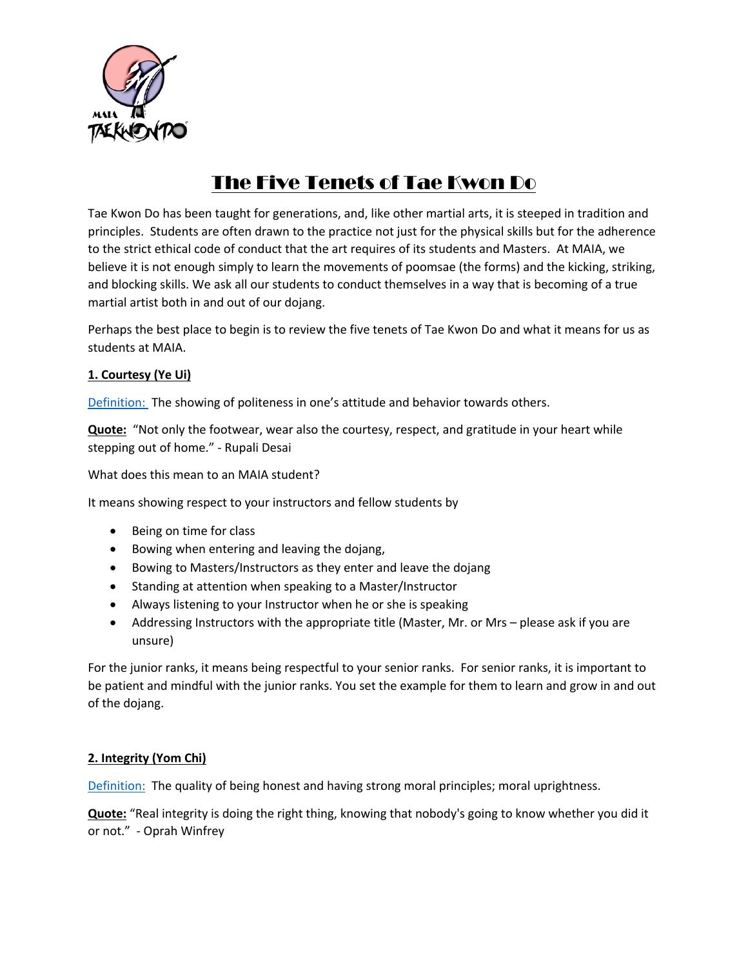

# The Five Tenets of Tae Kwon Do

Tae Kwon Do has been taught for generations, and, like other martial arts, it is steeped in tradition and principles. Students are often drawn to the practice not just for the physical skills but for the adherence to the strict ethical code of conduct that the art requires of its students and Masters. At MAIA, we believe it is not enough simply to learn the movements of poomsae (the forms) and the kicking, striking, and blocking skills. We ask all our students to conduct themselves in a way that is becoming of a true martial artist both in and out of our dojang.

Perhaps the best place to begin is to review the five tenets of Tae Kwon Do and what it means for us as students at MAIA.

## **1. Courtesy (Ye Ui)**

Definition: The showing of politeness in one's attitude and behavior towards others.

**Quote:** "Not only the footwear, wear also the courtesy, respect, and gratitude in your heart while stepping out of home." - Rupali Desai

What does this mean to an MAIA student?

It means showing respect to your instructors and fellow students by

- Being on time for class
- Bowing when entering and leaving the dojang,
- Bowing to Masters/Instructors as they enter and leave the dojang
- Standing at attention when speaking to a Master/Instructor
- Always listening to your Instructor when he or she is speaking
- Addressing Instructors with the appropriate title (Master, Mr. or Mrs please ask if you are unsure)

For the junior ranks, it means being respectful to your senior ranks. For senior ranks, it is important to be patient and mindful with the junior ranks. You set the example for them to learn and grow in and out of the dojang.

### **2. Integrity (Yom Chi)**

Definition: The quality of being honest and having strong moral principles; moral uprightness.

**Quote:** "Real integrity is doing the right thing, knowing that nobody's going to know whether you did it or not." - Oprah Winfrey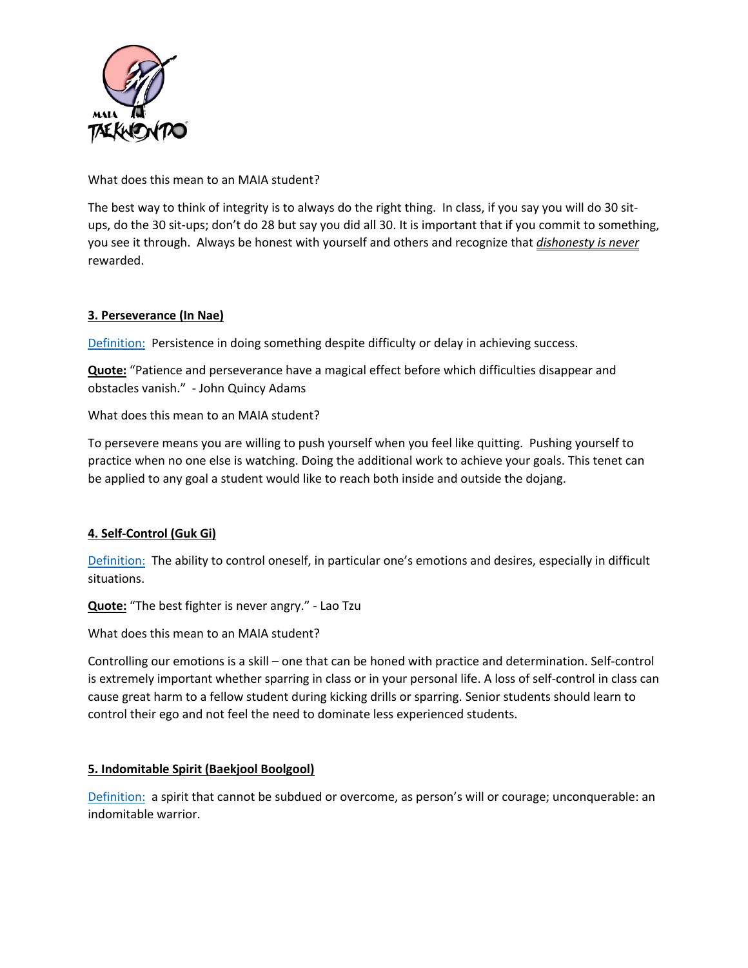

What does this mean to an MAIA student?

The best way to think of integrity is to always do the right thing. In class, if you say you will do 30 situps, do the 30 sit-ups; don't do 28 but say you did all 30. It is important that if you commit to something, you see it through. Always be honest with yourself and others and recognize that *dishonesty is never* rewarded.

### **3. Perseverance (In Nae)**

Definition: Persistence in doing something despite difficulty or delay in achieving success.

**Quote:** "Patience and perseverance have a magical effect before which difficulties disappear and obstacles vanish." - John Quincy Adams

What does this mean to an MAIA student?

To persevere means you are willing to push yourself when you feel like quitting. Pushing yourself to practice when no one else is watching. Doing the additional work to achieve your goals. This tenet can be applied to any goal a student would like to reach both inside and outside the dojang.

### **4. Self-Control (Guk Gi)**

Definition: The ability to control oneself, in particular one's emotions and desires, especially in difficult situations.

**Quote:** "The best fighter is never angry." - Lao Tzu

What does this mean to an MAIA student?

Controlling our emotions is a skill – one that can be honed with practice and determination. Self-control is extremely important whether sparring in class or in your personal life. A loss of self-control in class can cause great harm to a fellow student during kicking drills or sparring. Senior students should learn to control their ego and not feel the need to dominate less experienced students.

### **5. Indomitable Spirit (Baekjool Boolgool)**

Definition: a spirit that cannot be subdued or overcome, as person's will or courage; unconquerable: an indomitable warrior.